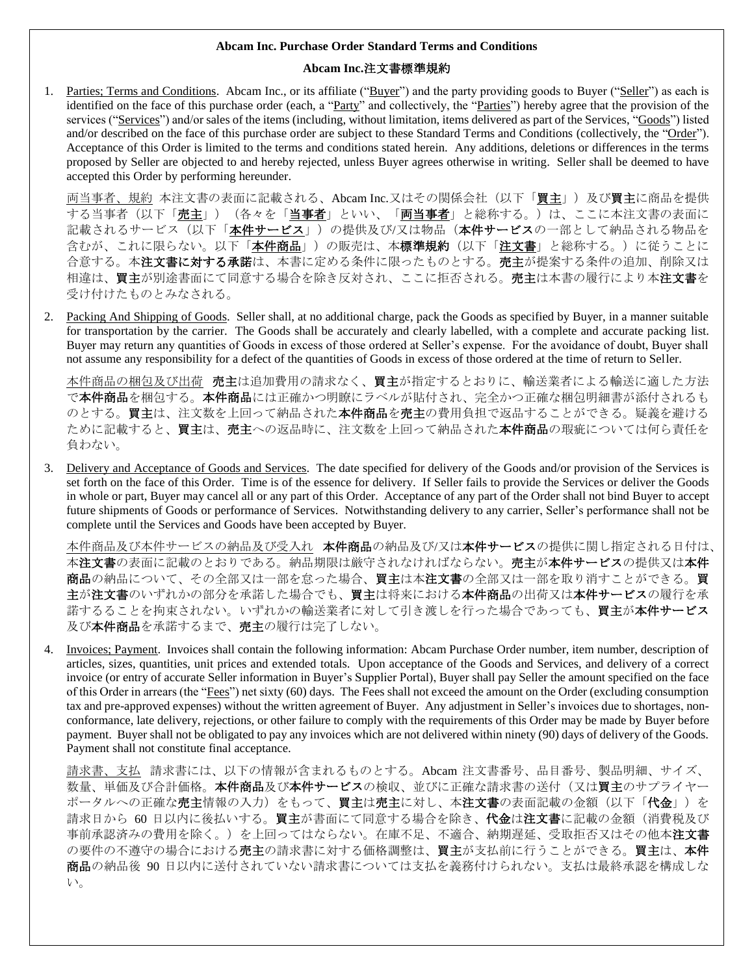# **Abcam Inc.**注文書標準規約

1. Parties; Terms and Conditions. Abcam Inc., or its affiliate ("Buyer") and the party providing goods to Buyer ("Seller") as each is identified on the face of this purchase order (each, a "Party" and collectively, the "Parties") hereby agree that the provision of the services ("Services") and/or sales of the items (including, without limitation, items delivered as part of the Services, "Goods") listed and/or described on the face of this purchase order are subject to these Standard Terms and Conditions (collectively, the "Order"). Acceptance of this Order is limited to the terms and conditions stated herein. Any additions, deletions or differences in the terms proposed by Seller are objected to and hereby rejected, unless Buyer agrees otherwise in writing. Seller shall be deemed to have accepted this Order by performing hereunder.

両当事者、規約本注文書の表面に記載される、Abcam Inc.又はその関係会社(以下「買主」)及び買主に商品を提供 する当事者(以下「売主」)(各々を「当事者」といい、「両当事者」と総称する。)は、ここに本注文書の表面に 記載されるサービス (以下「本件サービス」) の提供及び/又は物品 (本件サービスの一部として納品される物品を 含むが、これに限らない。以下「<mark>本件商品」)の販売は、本標準規約(以下「<u>注文書</u>」と総称する。)に従うことに</mark> 合意する。本注文書に対する承諾は、本書に定める条件に限ったものとする。売主が提案する条件の追加、削除又は 相違は、買主が別途書面にて同意する場合を除き反対され、ここに拒否される。売主は本書の履行により本注文書を 受け付けたものとみなされる。

2. Packing And Shipping of Goods. Seller shall, at no additional charge, pack the Goods as specified by Buyer, in a manner suitable for transportation by the carrier. The Goods shall be accurately and clearly labelled, with a complete and accurate packing list. Buyer may return any quantities of Goods in excess of those ordered at Seller's expense. For the avoidance of doubt, Buyer shall not assume any responsibility for a defect of the quantities of Goods in excess of those ordered at the time of return to Seller.

本件商品の梱包及び出荷 売主は追加費用の請求なく、買主が指定するとおりに、輸送業者による輸送に適した方法 で本件商品を梱包する。本件商品には正確かつ明瞭にラベルが貼付され、完全かつ正確な梱包明細書が添付されるも のとする。買主は、注文数を上回って納品された本件商品を売主の費用負担で返品することができる。疑義を避ける ために記載すると、買主は、売主への返品時に、注文数を上回って納品された本件商品の瑕疵については何ら責任を 負わない。

3. Delivery and Acceptance of Goods and Services. The date specified for delivery of the Goods and/or provision of the Services is set forth on the face of this Order. Time is of the essence for delivery. If Seller fails to provide the Services or deliver the Goods in whole or part, Buyer may cancel all or any part of this Order. Acceptance of any part of the Order shall not bind Buyer to accept future shipments of Goods or performance of Services. Notwithstanding delivery to any carrier, Seller's performance shall not be complete until the Services and Goods have been accepted by Buyer.

本件商品及び本件サービスの納品及び受入れ 本件商品の納品及び/又は本件サービスの提供に関し指定される日付は、 本注文書の表面に記載のとおりである。納品期限は厳守されなければならない。売主が本件サービスの提供又は本件 商品の納品について、その全部又は一部を怠った場合、買主は本注文書の全部又は一部を取り消すことができる。買 主が注文書のいずれかの部分を承諾した場合でも、買主は将来における本件商品の出荷又は本件サービスの履行を承 諾するることを拘束されない。いずれかの輸送業者に対して引き渡しを行った場合であっても、買主が本件サービス 及び本件商品を承諾するまで、売主の履行は完了しない。

4. Invoices; Payment. Invoices shall contain the following information: Abcam Purchase Order number, item number, description of articles, sizes, quantities, unit prices and extended totals. Upon acceptance of the Goods and Services, and delivery of a correct invoice (or entry of accurate Seller information in Buyer's Supplier Portal), Buyer shall pay Seller the amount specified on the face of this Order in arrears (the "Fees") net sixty (60) days. The Fees shall not exceed the amount on the Order (excluding consumption tax and pre-approved expenses) without the written agreement of Buyer. Any adjustment in Seller's invoices due to shortages, nonconformance, late delivery, rejections, or other failure to comply with the requirements of this Order may be made by Buyer before payment. Buyer shall not be obligated to pay any invoices which are not delivered within ninety (90) days of delivery of the Goods. Payment shall not constitute final acceptance.

請求書、支払 請求書には、以下の情報が含まれるものとする。Abcam 注文書番号、品目番号、製品明細、サイズ、 数量、単価及び合計価格。本件商品及び本件サービスの検収、並びに正確な請求書の送付(又は買主のサプライヤー ポータルへの正確な売主情報の入力)をもって、買主は売主に対し、本注文書の表面記載の金額(以下「代金」)を 請求日から 60 日以内に後払いする。買主が書面にて同意する場合を除き、代金は注文書に記載の金額(消費税及び 事前承認済みの費用を除く。)を上回ってはならない。在庫不足、不適合、納期遅延、受取拒否又はその他本**注文書** の要件の不遵守の場合における売主の請求書に対する価格調整は、買主が支払前に行うことができる。買主は、本件 商品の納品後 90 日以内に送付されていない請求書については支払を義務付けられない。支払は最終承認を構成しな い。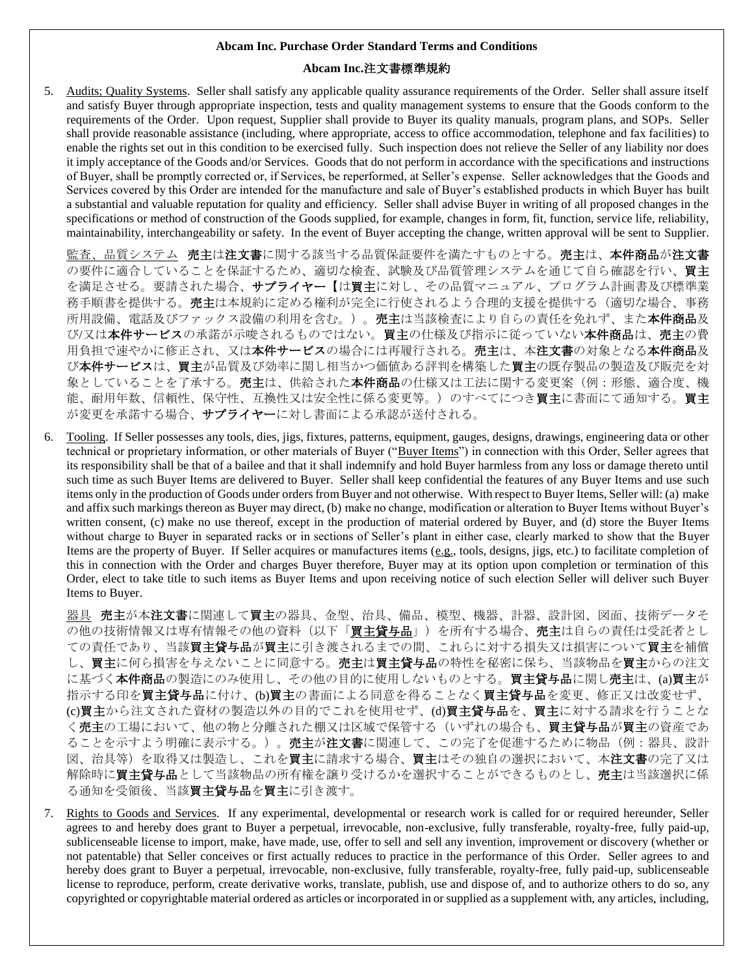### **Abcam Inc.**注文書標準規約

5. Audits; Quality Systems. Seller shall satisfy any applicable quality assurance requirements of the Order. Seller shall assure itself and satisfy Buyer through appropriate inspection, tests and quality management systems to ensure that the Goods conform to the requirements of the Order. Upon request, Supplier shall provide to Buyer its quality manuals, program plans, and SOPs. Seller shall provide reasonable assistance (including, where appropriate, access to office accommodation, telephone and fax facilities) to enable the rights set out in this condition to be exercised fully. Such inspection does not relieve the Seller of any liability nor does it imply acceptance of the Goods and/or Services. Goods that do not perform in accordance with the specifications and instructions of Buyer, shall be promptly corrected or, if Services, be reperformed, at Seller's expense. Seller acknowledges that the Goods and Services covered by this Order are intended for the manufacture and sale of Buyer's established products in which Buyer has built a substantial and valuable reputation for quality and efficiency. Seller shall advise Buyer in writing of all proposed changes in the specifications or method of construction of the Goods supplied, for example, changes in form, fit, function, service life, reliability, maintainability, interchangeability or safety. In the event of Buyer accepting the change, written approval will be sent to Supplier.

品質システム 売主は注文書に関する該当する品質保証要件を満たすものとする。売主は、本件商品が注文書 の要件に適合していることを保証するため、適切な検査、試験及び品質管理システムを通じて自ら確認を行い、買主 を満足させる。要請された場合、サプライヤー【は買主に対し、その品質マニュアル、プログラム計画書及び標準業 務手順書を提供する。**売主**は本規約に定める権利が完全に行使されるよう合理的支援を提供する(適切な場合、事務 所用設備、電話及びファックス設備の利用を含む。)。売主は当該検査により自らの責任を免れず、また本件商品及 び/又は本件サービスの承諾が示唆されるものではない。買主の仕様及び指示に従っていない本件商品は、売主の費 用負担で速やかに修正され、又は本件サービスの場合には再履行される。売主は、本注文書の対象となる本件商品及 び本件サービスは、買主が品質及び効率に関し相当かつ価値ある評判を構築した買主の既存製品の製造及び販売を対 象としていることを了承する。**売主**は、供給された**本件商品**の仕様又は工法に関する変更案(例:形態、適合度、機 能、耐用年数、信頼性、保守性、互換性又は安全性に係る変更等。)のすべてにつき買主に書面にて通知する。買主 が変更を承諾する場合、サプライヤーに対し書面による承認が送付される。

6. Tooling. If Seller possesses any tools, dies, jigs, fixtures, patterns, equipment, gauges, designs, drawings, engineering data or other technical or proprietary information, or other materials of Buyer ("Buyer Items") in connection with this Order, Seller agrees that its responsibility shall be that of a bailee and that it shall indemnify and hold Buyer harmless from any loss or damage thereto until such time as such Buyer Items are delivered to Buyer. Seller shall keep confidential the features of any Buyer Items and use such items only in the production of Goods under orders from Buyer and not otherwise. With respect to Buyer Items, Seller will: (a) make and affix such markings thereon as Buyer may direct, (b) make no change, modification or alteration to Buyer Items without Buyer's written consent, (c) make no use thereof, except in the production of material ordered by Buyer, and (d) store the Buyer Items without charge to Buyer in separated racks or in sections of Seller's plant in either case, clearly marked to show that the Buyer Items are the property of Buyer. If Seller acquires or manufactures items (e.g., tools, designs, jigs, etc.) to facilitate completion of this in connection with the Order and charges Buyer therefore, Buyer may at its option upon completion or termination of this Order, elect to take title to such items as Buyer Items and upon receiving notice of such election Seller will deliver such Buyer Items to Buyer.

器具 売主が本注文書に関連して買主の器具、金型、治具、備品、模型、機器、計器、設計図、図面、技術データそ の他の技術情報又は専有情報その他の資料(以下「買主貸与品」)を所有する場合、売主は自らの責任は受託者とし ての責任であり、当該買主貸与品が買主に引き渡されるまでの間、これらに対する損失又は損害について買主を補償 し、買主に何ら損害を与えないことに同意する。売主は買主貸与品の特性を秘密に保ち、当該物品を買主からの注文 に基づく本件商品の製造にのみ使用し、その他の目的に使用しないものとする。買主貸与品に関し売主は、(a)買主が 指示する印を買主貸与品に付け、(b)買主の書面による同意を得ることなく買主貸与品を変更、修正又は改変せず、 (c)買主から注文された資材の製造以外の目的でこれを使用せず、(d)買主貸与品を、買主に対する請求を行うことな く売主の工場において、他の物と分離された棚又は区域で保管する(いずれの場合も、買主貸与品が買主の資産であ ることを示すよう明確に表示する。)。売主が注文書に関連して、この完了を促進するために物品(例:器具、設計 図、治具等)を取得又は製造し、これを買主に請求する場合、買主はその独自の選択において、本注文書の完了又は 解除時に買主貸与品として当該物品の所有権を譲り受けるかを選択することができるものとし、売主は当該選択に係 る通知を受領後、当該買主貸与品を買主に引き渡す。

7. Rights to Goods and Services. If any experimental, developmental or research work is called for or required hereunder, Seller agrees to and hereby does grant to Buyer a perpetual, irrevocable, non-exclusive, fully transferable, royalty-free, fully paid-up, sublicenseable license to import, make, have made, use, offer to sell and sell any invention, improvement or discovery (whether or not patentable) that Seller conceives or first actually reduces to practice in the performance of this Order. Seller agrees to and hereby does grant to Buyer a perpetual, irrevocable, non-exclusive, fully transferable, royalty-free, fully paid-up, sublicenseable license to reproduce, perform, create derivative works, translate, publish, use and dispose of, and to authorize others to do so, any copyrighted or copyrightable material ordered as articles or incorporated in or supplied as a supplement with, any articles, including,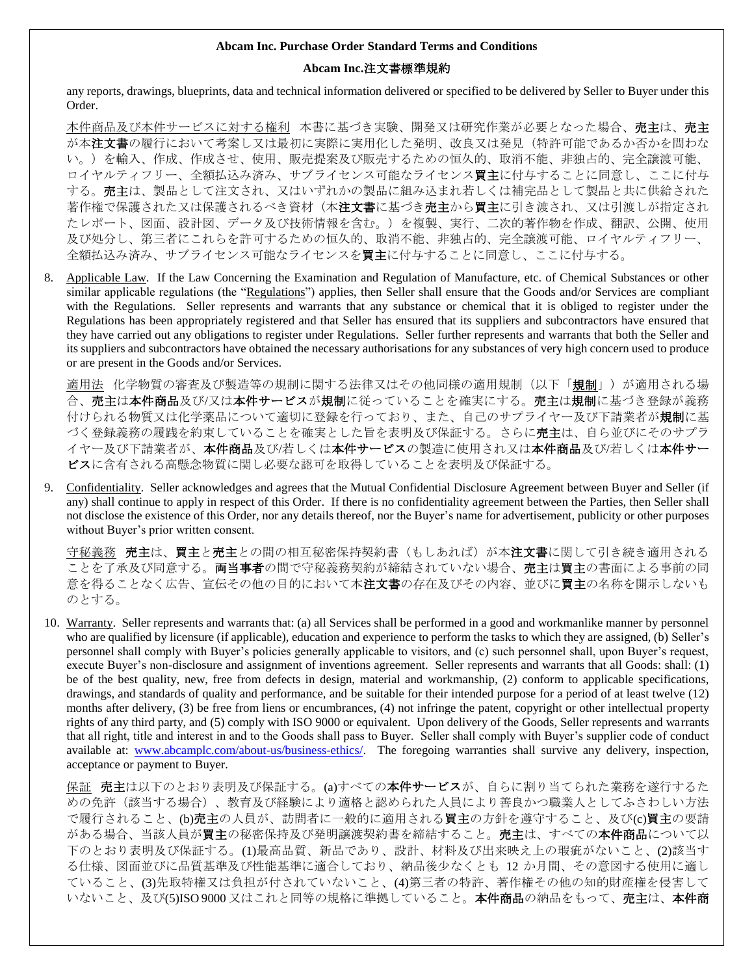# **Abcam Inc.**注文書標準規約

any reports, drawings, blueprints, data and technical information delivered or specified to be delivered by Seller to Buyer under this Order.

本件商品及び本件サービスに対する権利 本書に基づき実験、開発又は研究作業が必要となった場合、売主は、売主 が本注文書の履行において考案し又は最初に実際に実用化した発明、改良又は発見(特許可能であるか否かを問わな い。)を輸入、作成、作成させ、使用、販売提案及び販売するための恒久的、取消不能、非独占的、完全譲渡可能、 ロイヤルティフリー、全額払込み済み、サブライセンス可能なライセンス買主に付与することに同意し、ここに付与 する。売主は、製品として注文され、又はいずれかの製品に組み込まれ若しくは補完品として製品と共に供給された 著作権で保護された又は保護されるべき資材(本注文書に基づき売主から買主に引き渡され、又は引渡しが指定され たレポート、図面、設計図、データ及び技術情報を含む。)を複製、実行、二次的著作物を作成、翻訳、公開、使用 及び処分し、第三者にこれらを許可するための恒久的、取消不能、非独占的、完全譲渡可能、ロイヤルティフリー、 全額払込み済み、サブライセンス可能なライセンスを買主に付与することに同意し、ここに付与する。

8. Applicable Law. If the Law Concerning the Examination and Regulation of Manufacture, etc. of Chemical Substances or other similar applicable regulations (the "Regulations") applies, then Seller shall ensure that the Goods and/or Services are compliant with the Regulations. Seller represents and warrants that any substance or chemical that it is obliged to register under the Regulations has been appropriately registered and that Seller has ensured that its suppliers and subcontractors have ensured that they have carried out any obligations to register under Regulations. Seller further represents and warrants that both the Seller and its suppliers and subcontractors have obtained the necessary authorisations for any substances of very high concern used to produce or are present in the Goods and/or Services.

適用法 化学物質の審査及び製造等の規制に関する法律又はその他同様の適用規制(以下「規制」)が適用される場 合、売主は本件商品及び/又は本件サービスが規制に従っていることを確実にする。売主は規制に基づき登録が義務 付けられる物質又は化学薬品について適切に登録を行っており、また、自己のサプライヤー及び下請業者が規制に基 づく登録義務の履践を約束していることを確実とした旨を表明及び保証する。さらに売主は、自ら並びにそのサプラ イヤー及び下請業者が、本件商品及び/若しくは本件サービスの製造に使用され又は本件商品及び/若しくは本件サー ビスに含有される高懸念物質に関し必要な認可を取得していることを表明及び保証する。

9. Confidentiality. Seller acknowledges and agrees that the Mutual Confidential Disclosure Agreement between Buyer and Seller (if any) shall continue to apply in respect of this Order. If there is no confidentiality agreement between the Parties, then Seller shall not disclose the existence of this Order, nor any details thereof, nor the Buyer's name for advertisement, publicity or other purposes without Buyer's prior written consent.

行秘義務 売主は、買主と売主との間の相互秘密保持契約書(もしあれば)が本注文書に関して引き続き適用される ことを了承及び同意する。両当事者の間で守秘義務契約が締結されていない場合、売主は買主の書面による事前の同 意を得ることなく広告、宣伝その他の目的において本注文書の存在及びその内容、並びに買主の名称を開示しないも のとする。

10. Warranty. Seller represents and warrants that: (a) all Services shall be performed in a good and workmanlike manner by personnel who are qualified by licensure (if applicable), education and experience to perform the tasks to which they are assigned, (b) Seller's personnel shall comply with Buyer's policies generally applicable to visitors, and (c) such personnel shall, upon Buyer's request, execute Buyer's non-disclosure and assignment of inventions agreement. Seller represents and warrants that all Goods: shall: (1) be of the best quality, new, free from defects in design, material and workmanship, (2) conform to applicable specifications, drawings, and standards of quality and performance, and be suitable for their intended purpose for a period of at least twelve (12) months after delivery, (3) be free from liens or encumbrances, (4) not infringe the patent, copyright or other intellectual property rights of any third party, and (5) comply with ISO 9000 or equivalent. Upon delivery of the Goods, Seller represents and warrants that all right, title and interest in and to the Goods shall pass to Buyer. Seller shall comply with Buyer's supplier code of conduct available at: [www.abcamplc.com/about-us/business-ethics/.](http://www.abcamplc.com/about-us/business-ethics/) The foregoing warranties shall survive any delivery, inspection, acceptance or payment to Buyer.

保証 売主は以下のとおり表明及び保証する。(a)すべての本件サービスが、自らに割り当てられた業務を遂行するた めの免許(該当する場合)、教育及び経験により適格と認められた人員により善良かつ職業人としてふさわしい方法 で履行されること、(b)売主の人員が、訪問者に一般的に適用される買主の方針を遵守すること、及び(c)買主の要請 がある場合、当該人員が買主の秘密保持及び発明譲渡契約書を締結すること。売主は、すべての本件商品について以 下のとおり表明及び保証する。(1)最高品質、新品であり、設計、材料及び出来映え上の瑕疵がないこと、(2)該当す る仕様、図面並びに品質基準及び性能基準に適合しており、納品後少なくとも 12 か月間、その意図する使用に適し ていること、(3)先取特権又は負担が付されていないこと、(4)第三者の特許、著作権その他の知的財産権を侵害して いないこと、及び(5)ISO 9000 又はこれと同等の規格に準拠していること。本件商品の納品をもって、売主は、本件商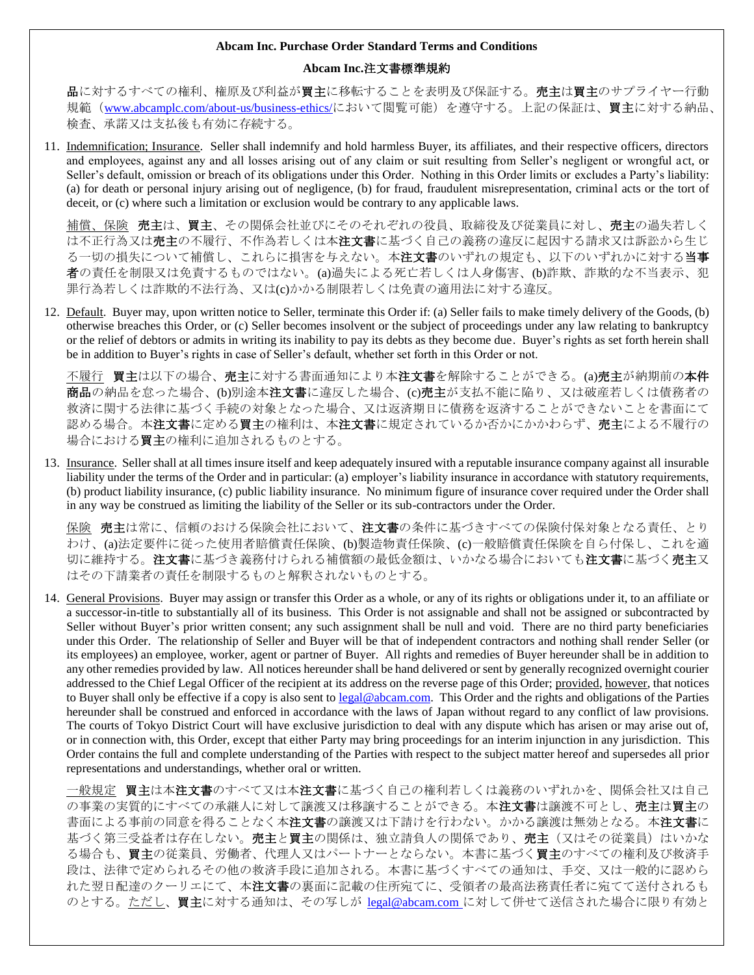# **Abcam Inc.**注文書標準規約

**品**に対するすべての権利、権原及び利益が**買主**に移転することを表明及び保証する。**売主**は**買主**のサプライヤー行動 規範([www.abcamplc.com/about-us/business-ethics/](http://www.abcamplc.com/about-us/business-ethics/)において閲覧可能)を遵守する。上記の保証は、買主に対する納品、 検査、承諾又は支払後も有効に存続する。

11. Indemnification; Insurance. Seller shall indemnify and hold harmless Buyer, its affiliates, and their respective officers, directors and employees, against any and all losses arising out of any claim or suit resulting from Seller's negligent or wrongful act, or Seller's default, omission or breach of its obligations under this Order. Nothing in this Order limits or excludes a Party's liability: (a) for death or personal injury arising out of negligence, (b) for fraud, fraudulent misrepresentation, criminal acts or the tort of deceit, or (c) where such a limitation or exclusion would be contrary to any applicable laws.

補償、保険 売主は、買主、その関係会社並びにそのそれぞれの役員、取締役及び従業員に対し、売主の過失若しく は不正行為又は売主の不履行、不作為若しくは本注文書に基づく自己の義務の違反に起因する請求又は訴訟から生じ る一切の損失について補償し、これらに損害を与えない。本注文書のいずれの規定も、以下のいずれかに対する当事 者の責任を制限又は免責するものではない。(a)過失による死亡若しくは人身傷害、(b)詐欺、詐欺的な不当表示、犯 罪行為若しくは詐欺的不法行為、又は(c)かかる制限若しくは免責の適用法に対する違反。

12. Default. Buyer may, upon written notice to Seller, terminate this Order if: (a) Seller fails to make timely delivery of the Goods, (b) otherwise breaches this Order, or (c) Seller becomes insolvent or the subject of proceedings under any law relating to bankruptcy or the relief of debtors or admits in writing its inability to pay its debts as they become due. Buyer's rights as set forth herein shall be in addition to Buyer's rights in case of Seller's default, whether set forth in this Order or not.

不履行 買主は以下の場合、売主に対する書面通知により本注文書を解除することができる。(a)売主が納期前の本件 商品の納品を怠った場合、(b)別途本注文書に違反した場合、(c)売主が支払不能に陥り、又は破産若しくは債務者の 救済に関する法律に基づく手続の対象となった場合、又は返済期日に債務を返済することができないことを書面にて 認める場合。本**注文書**に定める買主の権利は、本**注文書**に規定されているか否かにかかわらず、**売**主による不履行の 場合における買主の権利に追加されるものとする。

13. Insurance. Seller shall at all times insure itself and keep adequately insured with a reputable insurance company against all insurable liability under the terms of the Order and in particular: (a) employer's liability insurance in accordance with statutory requirements, (b) product liability insurance, (c) public liability insurance. No minimum figure of insurance cover required under the Order shall in any way be construed as limiting the liability of the Seller or its sub-contractors under the Order.

保険 売主は常に、信頼のおける保険会社において、注文書の条件に基づきすべての保険付保対象となる責任、とり わけ、(a)法定要件に従った使用者賠償責任保険、(b)製造物責任保険、(c)一般賠償責任保険を自ら付保し、これを適 切に維持する。注文書に基づき義務付けられる補償額の最低金額は、いかなる場合においても注文書に基づく売主又 はその下請業者の責任を制限するものと解釈されないものとする。

14. General Provisions. Buyer may assign or transfer this Order as a whole, or any of its rights or obligations under it, to an affiliate or a successor-in-title to substantially all of its business. This Order is not assignable and shall not be assigned or subcontracted by Seller without Buyer's prior written consent; any such assignment shall be null and void. There are no third party beneficiaries under this Order. The relationship of Seller and Buyer will be that of independent contractors and nothing shall render Seller (or its employees) an employee, worker, agent or partner of Buyer. All rights and remedies of Buyer hereunder shall be in addition to any other remedies provided by law. All notices hereunder shall be hand delivered or sent by generally recognized overnight courier addressed to the Chief Legal Officer of the recipient at its address on the reverse page of this Order; provided, however, that notices to Buyer shall only be effective if a copy is also sent to [legal@abcam.com.](mailto:legal@abcam.com) This Order and the rights and obligations of the Parties hereunder shall be construed and enforced in accordance with the laws of Japan without regard to any conflict of law provisions. The courts of Tokyo District Court will have exclusive jurisdiction to deal with any dispute which has arisen or may arise out of, or in connection with, this Order, except that either Party may bring proceedings for an interim injunction in any jurisdiction. This Order contains the full and complete understanding of the Parties with respect to the subject matter hereof and supersedes all prior representations and understandings, whether oral or written.

一般規定 買主は本注文書のすべて又は本注文書に基づく自己の権利若しくは義務のいずれかを、関係会社又は自己 の事業の実質的にすべての承継人に対して譲渡又は移譲することができる。本注文書は譲渡不可とし、売主は買主の 書面による事前の同意を得ることなく本注文書の譲渡又は下請けを行わない。かかる譲渡は無効となる。本注文書に 基づく第三受益者は存在しない。**売主**と買主の関係は、独立請負人の関係であり、売主(又はその従業員)はいかな る場合も、買主の従業員、労働者、代理人又はパートナーとならない。本書に基づく買主のすべての権利及び救済手 段は、法律で定められるその他の救済手段に追加される。本書に基づくすべての通知は、手交、又は一般的に認めら れた翌日配達のクーリエにて、本注文書の裏面に記載の住所宛てに、受領者の最高法務責任者に宛てて送付されるも のとする。ただし、買主に対する通知は、その写しが [legal@abcam.com](mailto:legal@abcam.com) に対して併せて送信された場合に限り有効と